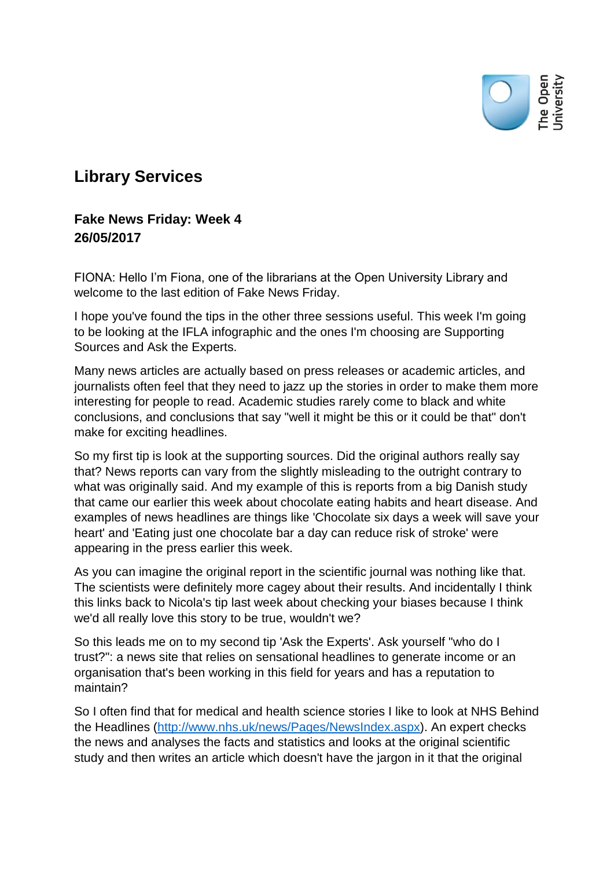

## **Library Services**

## **Fake News Friday: Week 4 26/05/2017**

FIONA: Hello I'm Fiona, one of the librarians at the Open University Library and welcome to the last edition of Fake News Friday.

I hope you've found the tips in the other three sessions useful. This week I'm going to be looking at the IFLA infographic and the ones I'm choosing are Supporting Sources and Ask the Experts.

Many news articles are actually based on press releases or academic articles, and journalists often feel that they need to jazz up the stories in order to make them more interesting for people to read. Academic studies rarely come to black and white conclusions, and conclusions that say "well it might be this or it could be that" don't make for exciting headlines.

So my first tip is look at the supporting sources. Did the original authors really say that? News reports can vary from the slightly misleading to the outright contrary to what was originally said. And my example of this is reports from a big Danish study that came our earlier this week about chocolate eating habits and heart disease. And examples of news headlines are things like 'Chocolate six days a week will save your heart' and 'Eating just one chocolate bar a day can reduce risk of stroke' were appearing in the press earlier this week.

As you can imagine the original report in the scientific journal was nothing like that. The scientists were definitely more cagey about their results. And incidentally I think this links back to Nicola's tip last week about checking your biases because I think we'd all really love this story to be true, wouldn't we?

So this leads me on to my second tip 'Ask the Experts'. Ask yourself "who do I trust?": a news site that relies on sensational headlines to generate income or an organisation that's been working in this field for years and has a reputation to maintain?

So I often find that for medical and health science stories I like to look at NHS Behind the Headlines [\(http://www.nhs.uk/news/Pages/NewsIndex.aspx\)](http://www.nhs.uk/news/Pages/NewsIndex.aspx). An expert checks the news and analyses the facts and statistics and looks at the original scientific study and then writes an article which doesn't have the jargon in it that the original